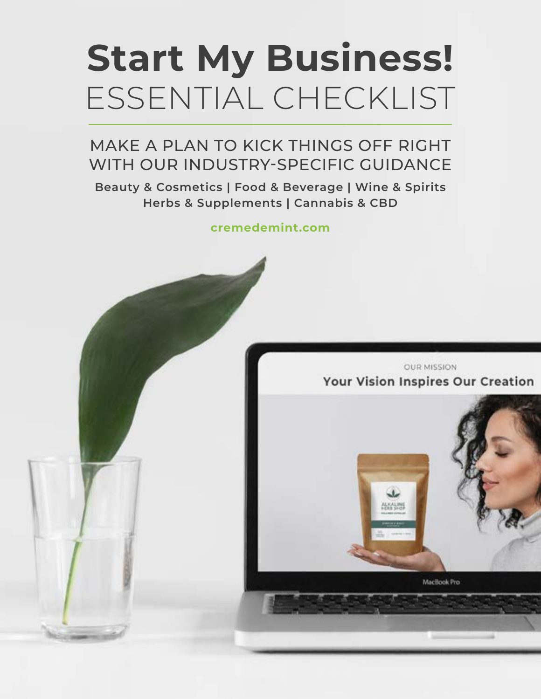# **Start My Business!**  ESSENTIAL CHECKLIST

### MAKE A PLAN TO KICK THINGS OFF RIGHT WITH OUR INDUSTRY-SPECIFIC GUIDANCE

**Beauty & Cosmetics | Food & Beverage | Wine & Spirits Herbs & Supplements | Cannabis & CBD**

**[cremedemint.com](https://cremedemint.com/)**

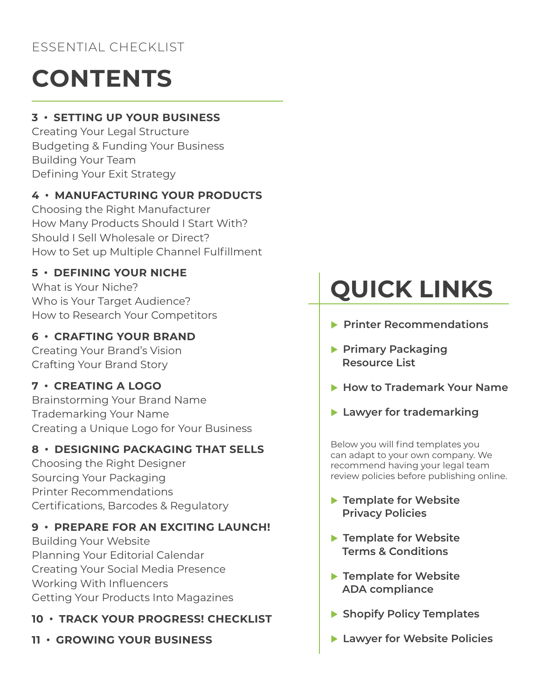## **CONTENTS**

### **[3 • SETTING UP YOUR BUSINESS](#page-2-0)**

[Creating Your Legal Structure](#page-2-0) [Budgeting & Funding Your Business](#page-2-0) [Building Your Team](#page-2-0) [Defining Your Exit Strategy](#page-2-0)

### **[4 • MANUFACTURING YOUR PRODUCTS](#page-3-0)**

[Choosing the Right Manufacturer](#page-3-0) [How Many Products Should I Start With?](#page-3-0) [Should I Sell Wholesale or Direct?](#page-3-0) [How to Set up Multiple Channel Fulfillment](#page-3-0)

### **[5 • DEFINING YOUR NICHE](#page-4-0)**

[What is Your Niche?](#page-4-0) [Who is Your Target Audience?](#page-4-0) [How to Research Your Competitors](#page-4-0)

### **[6 • CRAFTING YOUR BRAND](#page-5-0)**

[Creating Your Brand's Vision](#page-5-0) [Crafting Your Brand Story](#page-5-0)

### **[7 • CREATING A LOGO](#page-6-0)**

[Brainstorming Your Brand Name](#page-6-0) [Trademarking Your Name](#page-6-0) [Creating a Unique Logo for Your Business](#page-6-0)

### **[8 • DESIGNING PACKAGING THAT SELLS](#page-7-0)**

[Choosing the Right Designer](#page-7-0) [Sourcing Your Packaging](#page-7-0) [Printer Recommendations](#page-7-0) [Certifications, Barcodes & Regulatory](#page-7-0)

### **[9 • PREPARE FOR AN EXCITING LAUNCH!](#page-8-0)**

[Building Your Website](#page-8-0) [Planning Your Editorial Calendar](#page-8-0) [Creating Your Social Media Presence](#page-8-0) [Working With Influencers](#page-8-0) [Getting Your Products Into Magazines](#page-8-0)

### **[10 • TRACK YOUR PROGRESS! CHECKLIST](#page-9-0)**

**[11 • GROWING YOUR BUSINESS](#page-10-0)**

# **QUICK LINKS**

- **Printer Recommendations**
- **Primary Packaging  [Resource List](https://docs.google.com/spreadsheets/d/12TzMgI8kbfh_eUYFgBVVWqvNey2LlO0QR0H5odTmPm4/edit?usp=sharing)**
- ▶ [How to Trademark Your Name](https://cremedemint.com/blog/business-startup/trademarking-legal/acquiring-a-trademark-for-your-product-business-the-6-step-process-to-protect-your-brand-identity/)
- **[Lawyer for trademarking](https://docs.google.com/document/d/18hUDyWSicX_nIqPs_WRUDIh58wpf0cVScQy9GUgw9jU/edit)**

Below you will find templates you can adapt to your own company. We recommend having your legal team review policies before publishing online.

- **Femplate for Website  [Privacy Policies](https://docs.google.com/document/d/1_epSKtOwzgJTOAGCKSPLnpfoVzn-Ndi6o1DvqIuSec0/edit?usp=sharing)**
- **Femplate for Website  [Terms & Conditions](https://docs.google.com/document/d/13rYT3HKkAxlJCmAbUMUOdEYO0sVEZZZCMr8JSjJGTyw/edit?usp=sharing)**
- **F** Template for Website  **[ADA compliance](https://docs.google.com/document/d/1Ss0h97Q1xc2QWniplxcAvtZr1mXXH50tVsPmY58NIp4/edit?usp=sharing)**
- **[Shopify Policy Templates](https://docs.google.com/document/d/12yGUNgTFtFZHOBKEh3aQqShOFhmVqoTB/edit?usp=sharing&ouid=115241758255042790786&rtpof=true&sd=true)**
- **[Lawyer for Website Policies](https://www.lslawpl.com/kubs)**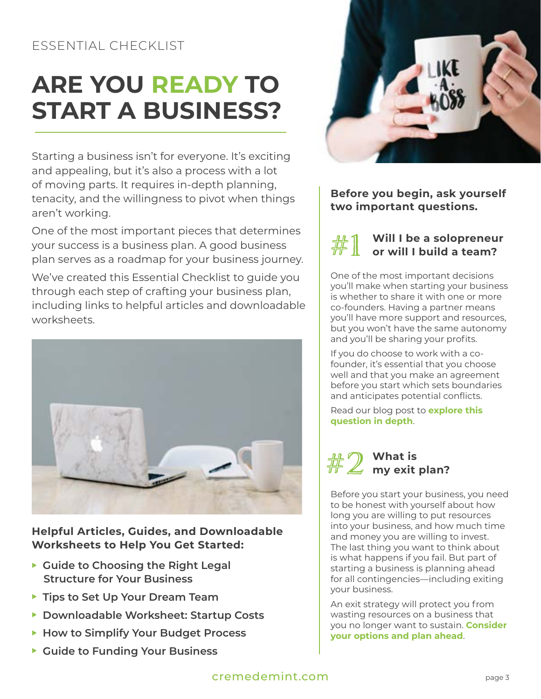## <span id="page-2-0"></span>**ARE YOU READY TO START A BUSINESS?**

Starting a business isn't for everyone. It's exciting and appealing, but it's also a process with a lot of moving parts. It requires in-depth planning, tenacity, and the willingness to pivot when things aren't working.

One of the most important pieces that determines your success is a business plan. A good business plan serves as a roadmap for your business journey.

We've created this Essential Checklist to guide you through each step of crafting your business plan, including links to helpful articles and downloadable worksheets.



**Helpful Articles, Guides, and Downloadable Worksheets to Help You Get Started:**

- ▶ Guide to Choosing the Right Legal  **[Structure for Your Business](https://cremedemint.com/blog/business-startup/trademarking-legal/how-to-legally-establish-your-product-business/)**
- **Fips to Set Up Your Dream Team**
- **[Downloadable Worksheet: Startup Costs](https://docs.google.com/spreadsheets/d/17uQU18fRewql664GhwcJ5cKt70Q_L_Vb649-IDdwvUA/edit?usp=sharing)**
- **[How to Simplify Your Budget Process](https://cremedemint.com/blog/funding-your-business/how-to-simplify-the-budget-process-and-determine-the-startup-costs-for-your-product-business/)**
- ▶ Guide to Funding Your Business



**Before you begin, ask yourself two important questions.** 

#1 **Will I be a solopreneur or will I build a team?**

One of the most important decisions you'll make when starting your business is whether to share it with one or more co-founders. Having a partner means you'll have more support and resources, but you won't have the same autonomy and you'll be sharing your profits.

If you do choose to work with a cofounder, it's essential that you choose well and that you make an agreement before you start which sets boundaries and anticipates potential conflicts.

Read our blog post to **[explore this](https://cremedemint.com/blog/general-advice/should-you-start-your-business-with-a-co-founder/)  [question in depth](https://cremedemint.com/blog/general-advice/should-you-start-your-business-with-a-co-founder/)**.



Before you start your business, you need to be honest with yourself about how long you are willing to put resources into your business, and how much time and money you are willing to invest. The last thing you want to think about is what happens if you fail. But part of starting a business is planning ahead for all contingencies—including exiting your business.

An exit strategy will protect you from wasting resources on a business that you no longer want to sustain. **[Consider](https://cremedemint.com/blog/general-advice/exiting-your-product-business-how-and-why-to-make-a-shutdown-plan-before-you-launch/)  [your options and plan ahead](https://cremedemint.com/blog/general-advice/exiting-your-product-business-how-and-why-to-make-a-shutdown-plan-before-you-launch/)**.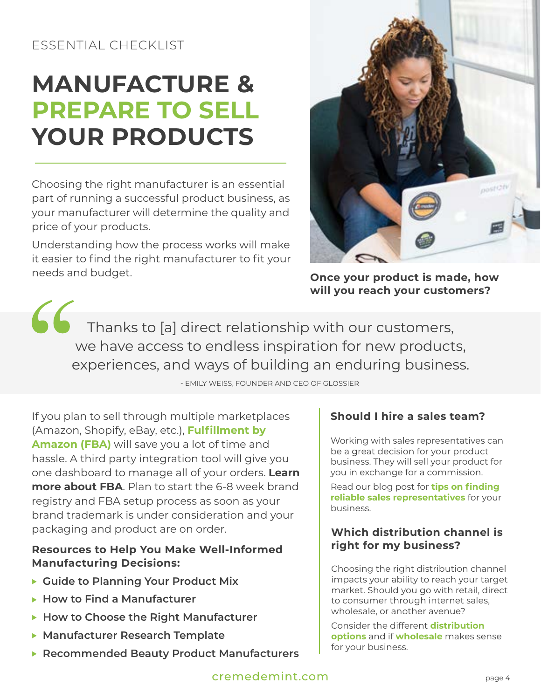## <span id="page-3-0"></span>**MANUFACTURE & PREPARE TO SELL YOUR PRODUCTS**

Choosing the right manufacturer is an essential part of running a successful product business, as your manufacturer will determine the quality and price of your products.

Understanding how the process works will make it easier to find the right manufacturer to fit your needs and budget.



**Once your product is made, how will you reach your customers?** 

66 Thanks to [a] direct relationship with our customers, we have access to endless inspiration for new products, experiences, and ways of building an enduring business.

- EMILY WEISS, FOUNDER AND CEO OF GLOSSIER

If you plan to sell through multiple marketplaces (Amazon, Shopify, eBay, etc.), **[Fulfillment by](https://help.shopify.com/en/manual/shipping/fulfillment-services/amazon)  [Amazon](https://help.shopify.com/en/manual/shipping/fulfillment-services/amazon) (FBA)** will save you a lot of time and hassle. A third party integration tool will give you one dashboard to manage all of your orders. **Learn more about FBA**. Plan to start the 6-8 week brand registry and FBA setup process as soon as your brand trademark is under consideration and your packaging and product are on order.

### **Resources to Help You Make Well-Informed Manufacturing Decisions:**

- **Cuide to Planning Your Product Mix**
- ▶ How to Find a Manufacturer
- ▶ [How to Choose the Right Manufacturer](https://cremedemint.com/blog/industry/beauty-cosmetics-industry/choose-a-manufacturer-for-your-beauty-product/)
- **[Manufacturer Research Template](https://docs.google.com/spreadsheets/d/1xU11ugvt6m33RpboJBryxrBeekWPJXrhW3JTsSzRS04/edit?usp=sharing)**
- **[Recommended Beauty Product Manufacturers](https://docs.google.com/spreadsheets/d/1tK2-Mnw-1uwoMEhatt2_t1akRcLYDmMQ3rhCWm2iPFQ/edit?usp=sharing)**

### **Should I hire a sales team?**

Working with sales representatives can be a great decision for your product business. They will sell your product for you in exchange for a commission.

Read our blog post for **[tips on finding](https://cremedemint.com/blog/manufacturing-your-products/find-a-sales-representative/)  [reliable sales representatives](https://cremedemint.com/blog/manufacturing-your-products/find-a-sales-representative/)** for your business.

### **Which distribution channel is right for my business?**

Choosing the right distribution channel impacts your ability to reach your target market. Should you go with retail, direct to consumer through internet sales, wholesale, or another avenue?

Consider the different **[distribution](https://cremedemint.com/blog/manufacturing-your-products/choosing-a-distribution-channel-for-your-product/)  [options](https://cremedemint.com/blog/manufacturing-your-products/choosing-a-distribution-channel-for-your-product/)** and if **[wholesale](https://cremedemint.com/blog/marketing-your-products/everything-you-need-to-know-about-wholesale-for-your-product-business/)** makes sense for your business.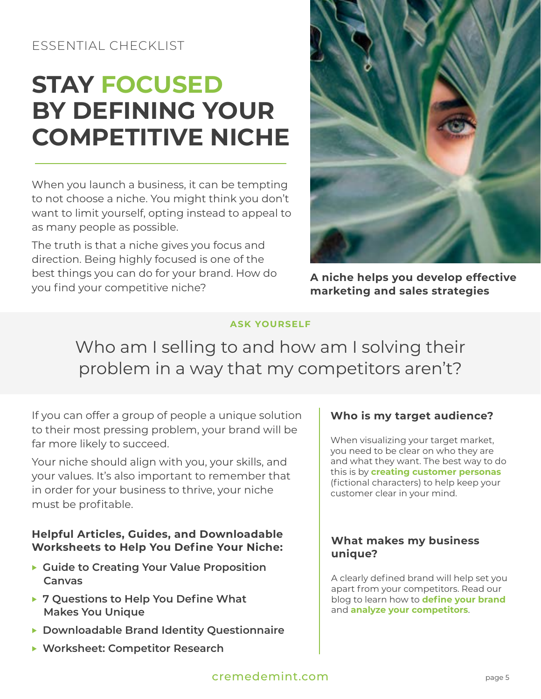## <span id="page-4-0"></span>**STAY FOCUSED BY DEFINING YOUR COMPETITIVE NICHE**

When you launch a business, it can be tempting to not choose a niche. You might think you don't want to limit yourself, opting instead to appeal to as many people as possible.

The truth is that a niche gives you focus and direction. Being highly focused is one of the best things you can do for your brand. How do you find your competitive niche?



**A niche helps you develop effective marketing and sales strategies**

#### **ASK YOURSELF**

Who am I selling to and how am I solving their problem in a way that my competitors aren't?

If you can offer a group of people a unique solution to their most pressing problem, your brand will be far more likely to succeed.

Your niche should align with you, your skills, and your values. It's also important to remember that in order for your business to thrive, your niche must be profitable.

#### **Helpful Articles, Guides, and Downloadable Worksheets to Help You Define Your Niche:**

- ▶ Guide to Creating Your Value Proposition  **[Canvas](https://docs.google.com/document/d/1JU1MNQb7mkFhiNkPDfbRf_8uRsjtbCsXeDOZrxpAGjo/edit)**
- ▶ 7 Questions to Help You Define What  **[Makes You Unique](https://cremedemint.com/blog/industry/beauty-cosmetics-industry/top-7-steps-to-identify-the-right-beauty-business-for-you/)**
- <sup>u</sup> **[Downloadable Brand Identity Questionnaire](https://docs.google.com/document/d/1tV9YKf24boisuAkdt0XmLk-A8fqI1w5PswMEDW-5QYI/edit)**
- ▶ [Worksheet: Competitor Research](https://docs.google.com/document/d/179sUzuYVUm-p031ts0WqGMnZD0asIOvMXkbjiqOfCJY/edit)

### **Who is my target audience?**

When visualizing your target market, you need to be clear on who they are and what they want. The best way to do this is by **[creating customer personas](https://cremedemint.com/blog/topic/logos-branding/problems-personas-and-profits-how-to-find-the-right-niche-for-your-product-business/)** (fictional characters) to help keep your customer clear in your mind.

#### **What makes my business unique?**

A clearly defined brand will help set you apart from your competitors. Read our blog to learn how to **[define your brand](https://cremedemint.com/blog/topic/logos-branding/5-questions-to-ask-to-define-your-brand/)** and **[analyze your competitors](https://cremedemint.com/blog/general-advice/learn-how-to-research-and-analyze-your-competitors/)**.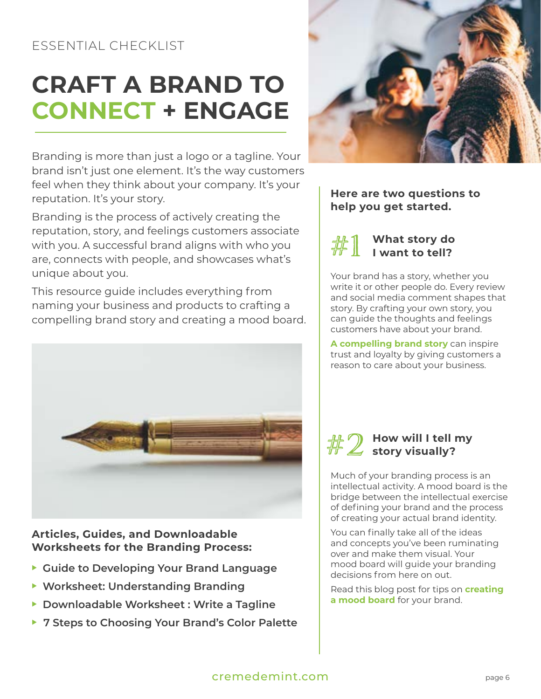## <span id="page-5-0"></span>**CRAFT A BRAND TO CONNECT + ENGAGE**

Branding is more than just a logo or a tagline. Your brand isn't just one element. It's the way customers feel when they think about your company. It's your reputation. It's your story.

Branding is the process of actively creating the reputation, story, and feelings customers associate with you. A successful brand aligns with who you are, connects with people, and showcases what's unique about you.

This resource guide includes everything from naming your business and products to crafting a compelling brand story and creating a mood board.



#### **Articles, Guides, and Downloadable Worksheets for the Branding Process:**

- ▶ [Guide to Developing Your Brand Language](https://cremedemint.com/blog/topic/logos-branding/brand-language-for-product-businesses-write-taglines-product-names-and-descriptions-that-reflect-your-brand/)
- **EXEDED:** Understanding Branding
- **[Downloadable Worksheet : Write a Tagline](https://docs.google.com/document/d/1Ta9KIUX27OKt_NhrO5BSNM5PMLO9kNaZNn47u3evqK0/edit)**
- ▶ [7 Steps to Choosing Your Brand's Color Palette](https://cremedemint.com/blog/topic/logos-branding/7-steps-to-choosing-a-color-palette-for-your-brand/)



### **Here are two questions to help you get started.**



### **What story do I want to tell?**

Your brand has a story, whether you write it or other people do. Every review and social media comment shapes that story. By crafting your own story, you can guide the thoughts and feelings customers have about your brand.

**[A compelling brand story](https://cremedemint.com/blog/topic/logos-branding/build-loyalty-and-engage-customers-how-to-create-a-compelling-brand-story-for-your-product-business/)** can inspire trust and loyalty by giving customers a reason to care about your business.



Much of your branding process is an intellectual activity. A mood board is the bridge between the intellectual exercise of defining your brand and the process of creating your actual brand identity.

You can finally take all of the ideas and concepts you've been ruminating over and make them visual. Your mood board will guide your branding decisions from here on out.

Read this blog post for tips on **[creating](https://cremedemint.com/blog/topic/logos-branding/your-brand-needs-a-mood-board-heres-how-to-create-one/)  [a mood board](https://cremedemint.com/blog/topic/logos-branding/your-brand-needs-a-mood-board-heres-how-to-create-one/)** for your brand.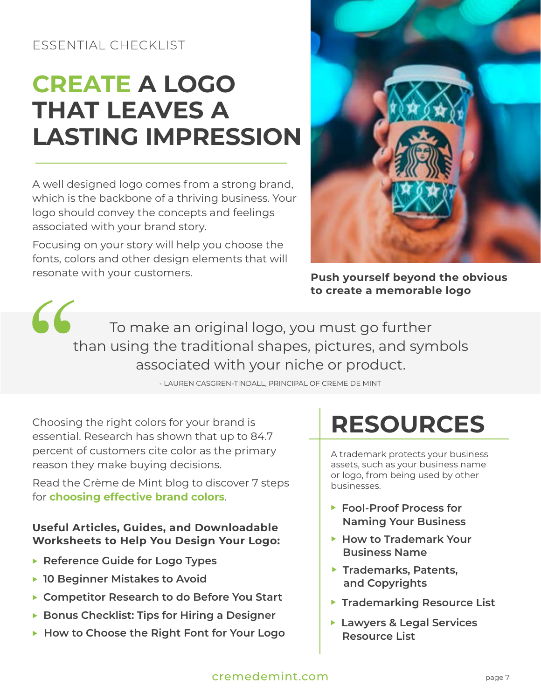## <span id="page-6-0"></span>**CREATE A LOGO THAT LEAVES A LASTING IMPRESSION**

A well designed logo comes from a strong brand, which is the backbone of a thriving business. Your logo should convey the concepts and feelings associated with your brand story.

Focusing on your story will help you choose the fonts, colors and other design elements that will resonate with your customers.



**Push yourself beyond the obvious to create a memorable logo** 

66 To make an original logo, you must go further than using the traditional shapes, pictures, and symbols associated with your niche or product.

- LAUREN CASGREN-TINDALL, PRINCIPAL OF CREME DE MINT

Choosing the right colors for your brand is essential. Research has shown that up to 84.7 percent of customers cite color as the primary reason they make buying decisions.

Read [the Crème de Mint blog](https://cremedemint.com/blog/topic/logos-branding/7-steps-to-choosing-a-color-palette-for-your-brand/) to discover 7 steps for **[choosing effective brand colors](https://cremedemint.com/blog/topic/logos-branding/7-steps-to-choosing-a-color-palette-for-your-brand/)**.

### **Useful Articles, Guides, and Downloadable Worksheets to Help You Design Your Logo:**

- **[Reference Guide for Logo Types](https://docs.google.com/document/d/18XMU84rZhjDOJVIZ99xKhTqCuVX-79CvQbRsS6e2UKY/edit)**
- ▶ [10 Beginner Mistakes to Avoid](https://cremedemint.com/blog/topic/logos-branding/10-beginner-mistakes-you-should-avoid-when-designing-your-logo/)
- ▶ [Competitor Research to do Before You Start](https://cremedemint.com/blog/topic/logos-branding/14-things-you-should-know-about-your-competitors-before-you-design-your-logo-and-brand/)
- **[Bonus Checklist: Tips for Hiring a Designer](https://docs.google.com/document/d/1c9OY96EJTW8j3xxYwru7-oy-dQP-0xaXmTTjqePMEGk/edit)**
- ▶ [How to Choose the Right Font for Your Logo](https://cremedemint.com/blog/topic/logos-branding/how-to-pick-a-font-for-your-logo/)

## **RESOURCES**

A trademark protects your business assets, such as your business name or logo, from being used by other businesses.

- ▶ Fool-Proof Process for  **[Naming Your Business](https://cremedemint.com/blog/topic/logos-branding/the-7-step-fool-proof-process-to-naming-your-business-or-product/)**
- ▶ How to Trademark Your  **[Business Name](https://cremedemint.com/blog/business-startup/trademarking-legal/acquiring-a-trademark-for-your-product-business-the-6-step-process-to-protect-your-brand-identity/)**
- ▶ Trademarks, Patents,  **[and Copyrights](https://cremedemint.com/blog/business-startup/trademarking-legal/everything-you-need-to-know-about-legally-protecting-your-products/)**
- **Firademarking Resource List**
- **[Lawyers & Legal Services](https://docs.google.com/document/d/18hUDyWSicX_nIqPs_WRUDIh58wpf0cVScQy9GUgw9jU/edit)  [Resource List](https://docs.google.com/document/d/18hUDyWSicX_nIqPs_WRUDIh58wpf0cVScQy9GUgw9jU/edit)**

### [cremedemint.com](https://cremedemint.com/) page 7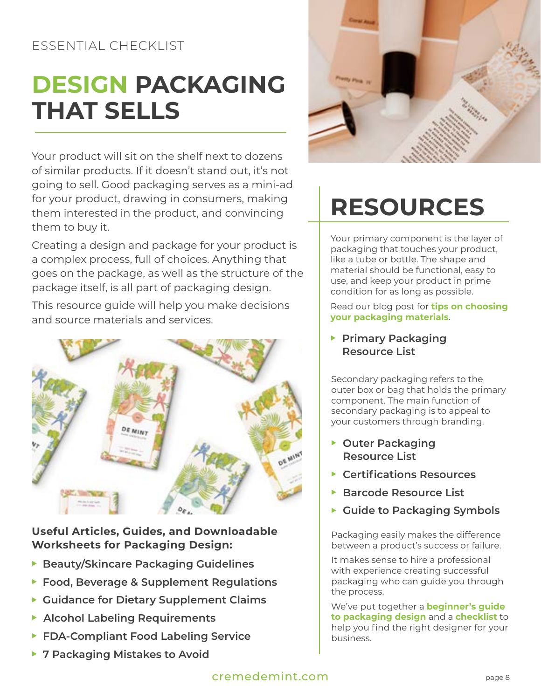## <span id="page-7-0"></span>**DESIGN PACKAGING THAT SELLS**

Your product will sit on the shelf next to dozens of similar products. If it doesn't stand out, it's not going to sell. Good packaging serves as a mini-ad for your product, drawing in consumers, making them interested in the product, and convincing them to buy it.

Creating a design and package for your product is a complex process, full of choices. Anything that goes on the package, as well as the structure of the package itself, is all part of packaging design.

This resource guide will help you make decisions and source materials and services.



### **Useful Articles, Guides, and Downloadable Worksheets for Packaging Design:**

- **[Beauty/Skincare Packaging Guidelines](https://docs.google.com/document/d/1emwbQ3L8AFFgfIxPEn4i2GhD5YMb0RntVq-mU-2V22c/edit)**
- ▶ [Food, Beverage & Supplement Regulat](https://cremedemint.com/blog/business-startup/trademarking-legal/what-is-required-on-your-food-beverage-or-supplement-label/)ions
- **[Guidance for Dietary Supplement Claims](https://cremedemint.com/blog/industry/herbs-supplements/everything-you-need-to-know-about-the-fda-rules-for-dietary-supplement-labels/)**
- **[Alcohol Labeling Requirements](https://cremedemint.com/blog/industry/wine-spirits/the-complete-step-by-step-guide-to-labeling-alcohol/)**
- ▶ FDA-Compliant Food Labeling Service
- ▶ [7 Packaging Mistakes to Avoid](https://cremedemint.com/blog/topic/package-design-topic/for-perfect-packaging-dodge-these-top-7-mistakes/)



## **RESOURCES**

Your primary component is the layer of packaging that touches your product, like a tube or bottle. The shape and material should be functional, easy to use, and keep your product in prime condition for as long as possible.

Read our blog post for **[tips on choosing](https://cremedemint.com/blog/industry/beauty-cosmetics-industry/how-to-find-the-right-packaging-for-your-beauty-product/)  [your packaging materials](https://cremedemint.com/blog/industry/beauty-cosmetics-industry/how-to-find-the-right-packaging-for-your-beauty-product/)**.

**Primary Packaging  [Resource List](https://docs.google.com/spreadsheets/d/12TzMgI8kbfh_eUYFgBVVWqvNey2LlO0QR0H5odTmPm4/edit?usp=sharing)**

Secondary packaging refers to the outer box or bag that holds the primary component. The main function of secondary packaging is to appeal to your customers through branding.

- **Duter Packaging  [Resource List](https://docs.google.com/spreadsheets/d/1VL9AiA4vyCfub12WBlcWx3Mig5THWlY_Fhrruu_AIJA/edit?usp=sharing)**
- **Exercifications Resources**
- **[Barcode Resource List](https://docs.google.com/spreadsheets/d/1vStqE-PJITpboAj3felIjHXzuMjY_fy3EoZdntPgds8/edit?usp=sharing)**
- **[Guide to Packaging Symbols](https://cremedemint.com/blog/topic/packaging-design/the-most-common-symbols-on-packaging-and-why-they-are-important/)**

Packaging easily makes the difference between a product's success or failure.

It makes sense to hire a professional with experience creating successful packaging who can guide you through the process.

We've put together a **[beginner's guide](https://cremedemint.com/blog/topic/packaging-design/the-inside-scoop-on-packaging-design-how-to-find-and-work-with-a-fantastic-packaging-designer/)  [to packaging design](https://cremedemint.com/blog/topic/packaging-design/the-inside-scoop-on-packaging-design-how-to-find-and-work-with-a-fantastic-packaging-designer/)** and a **[checklist](https://docs.google.com/document/d/1mOSoxhBWqZlNKI2nYr5L1Qnt8x5bPEPz-F2Glj6zJdk/edit)** to help you find the right designer for your business.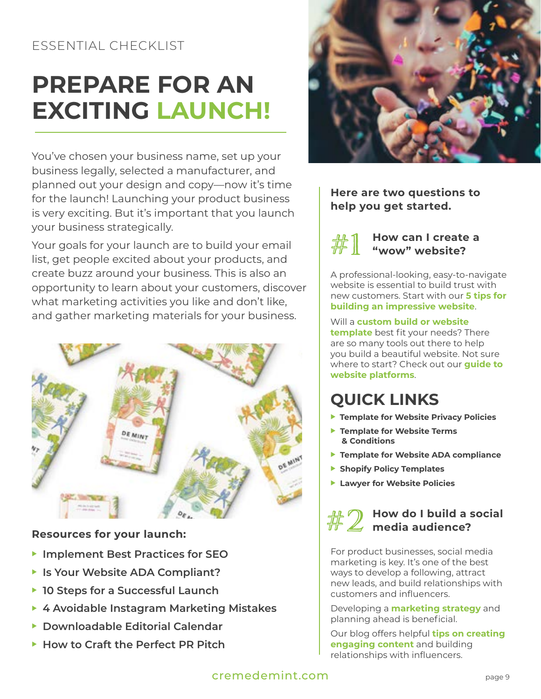## <span id="page-8-0"></span>**PREPARE FOR AN EXCITING LAUNCH!**

You've chosen your business name, set up your business legally, selected a manufacturer, and planned out your design and copy—now it's time for the launch! Launching your product business is very exciting. But it's important that you launch your business strategically.

Your goals for your launch are to build your email list, get people excited about your products, and create buzz around your business. This is also an opportunity to learn about your customers, discover what marketing activities you like and don't like, and gather marketing materials for your business.



#### **Resources for your launch:**

- **[Implement Best Practices for SEO](https://cremedemint.com/blog/marketing-your-products/the-quick-guide-to-seo-best-practices-for-your-small-business/)**
- ▶ Is Your Website ADA Compliant?
- ▶ [10 Steps for a Successful Launch](https://docs.google.com/document/d/1GzoQLNwXIrvz4dBK9ci5KJQojg5MXfbcfuFPx3oU68s/edit)
- ▶ [4 Avoidable Instagram Marketing Mistakes](https://cremedemint.com/blog/marketing-your-products/four-common-mistakes-businesses-make-on-instagram-and-how-to-avoid-them/)
- **[Downloadable Editorial Calendar](https://www.dropbox.com/s/6kvly49qr63z541/Editorial%20Calendar%20Template-2.xlsx?dl=0)**
- ▶ [How to Craft the Perfect PR Pitch](https://cremedemint.com/blog/marketing-your-products/crafting-the-perfect-pitch-our-tried-and-true-tips-to-land-a-pr-mention-for-your-product/)



### **Here are two questions to help you get started.**



#### **How can I create a "wow" website?**

A professional-looking, easy-to-navigate website is essential to build trust with new customers. Start with our **[5 tips for](https://cremedemint.com/blog/marketing-your-products/how-to-design-an-impressive-website-for-your-product-business-5-tips-for-success/)  [building an impressive website](https://cremedemint.com/blog/marketing-your-products/how-to-design-an-impressive-website-for-your-product-business-5-tips-for-success/)**.

### Will a **[custom build or website](https://cremedemint.com/blog/general-advice/why-you-should-choose-a-custom-build-wordpress-website-instead-of-a-wordpress-theme-for-your-business-website/)**

**[template](https://cremedemint.com/blog/general-advice/why-you-should-choose-a-custom-build-wordpress-website-instead-of-a-wordpress-theme-for-your-business-website/)** best fit your needs? There are so many tools out there to help you build a beautiful website. Not sure where to start? Check out our **[guide to](https://cremedemint.com/blog/topic/digital-marketing-topic/how-to-easily-build-a-beautiful-eccomerce-website-for-your-product-or-service/)  [website platforms](https://cremedemint.com/blog/topic/digital-marketing-topic/how-to-easily-build-a-beautiful-eccomerce-website-for-your-product-or-service/)**.

## **QUICK LINKS**

- **Pemplate for Website Privacy Policies**
- **Template for Website Terms  [& Conditions](https://docs.google.com/document/d/13rYT3HKkAxlJCmAbUMUOdEYO0sVEZZZCMr8JSjJGTyw/edit?usp=sharing)**
- **F** [Template for Website ADA compliance](https://docs.google.com/document/d/1Ss0h97Q1xc2QWniplxcAvtZr1mXXH50tVsPmY58NIp4/edit?usp=sharing)
- **[Shopify Policy Templates](https://docs.google.com/document/d/12yGUNgTFtFZHOBKEh3aQqShOFhmVqoTB/edit?usp=sharing&ouid=115241758255042790786&rtpof=true&sd=true)**
- **[Lawyer for Website Policies](https://www.lslawpl.com/kubs)**

# $\#2$  How do I build a social<br> $\#2$  media audience?

For product businesses, social media marketing is key. It's one of the best ways to develop a following, attract new leads, and build relationships with customers and influencers.

Developing a **[marketing strategy](https://cremedemint.com/blog/marketing-your-products/how-to-develop-an-online-marketing-strategy-for-your-product-business/)** and planning ahead is beneficial.

Our blog offers helpful **[tips on creating](https://cremedemint.com/blog/topic/digital-marketing-topic/social-media-marketing-tips-for-your-product-business-from-mindset-to-content/)  [engaging content](https://cremedemint.com/blog/topic/digital-marketing-topic/social-media-marketing-tips-for-your-product-business-from-mindset-to-content/)** and building relationships with influencers.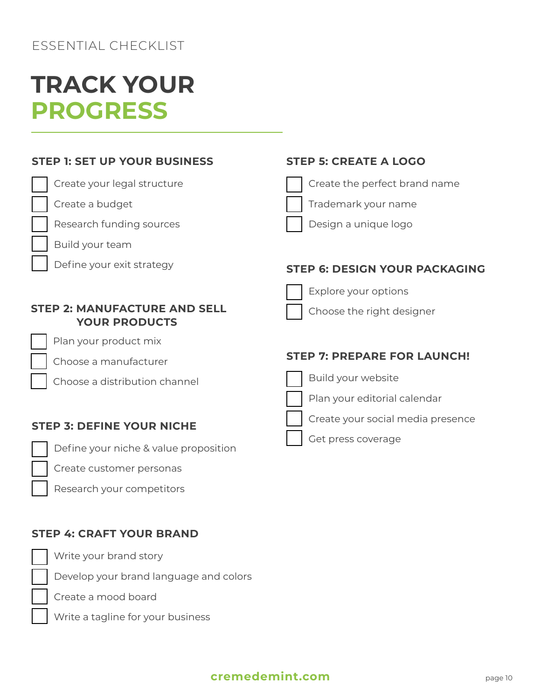## <span id="page-9-0"></span>**TRACK YOUR PROGRESS**

### **STEP 1: SET UP YOUR BUSINESS**

### Create your legal structure

- Create a budget
- Research funding sources
- Build your team
	- Define your exit strategy

#### **STEP 2: MANUFACTURE AND SELL YOUR PRODUCTS**

Plan your product mix

Choose a manufacturer

Choose a distribution channel

### **STEP 3: DEFINE YOUR NICHE**

Define your niche & value proposition

Create customer personas

Research your competitors

### **STEP 4: CRAFT YOUR BRAND**

Write your brand story

Develop your brand language and colors

Create a mood board

Write a tagline for your business

### **STEP 5: CREATE A LOGO**



Trademark your name

Design a unique logo

### **STEP 6: DESIGN YOUR PACKAGING**



Explore your options

Choose the right designer

### **STEP 7: PREPARE FOR LAUNCH!**



Build your website











Create your social media presence



Get press coverage

### **[cremedemint.com](https://cremedemint.com/)** page 10